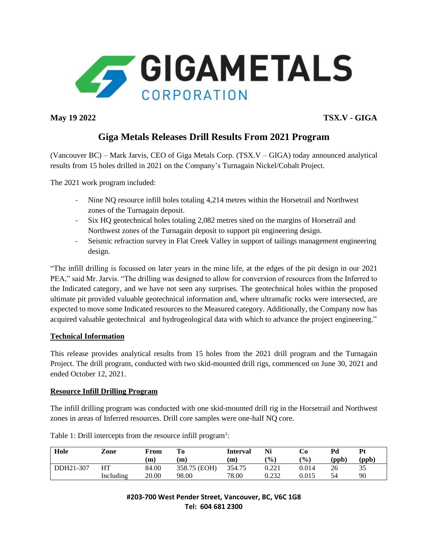

**May 19 2022 TSX.V - GIGA**

# **Giga Metals Releases Drill Results From 2021 Program**

(Vancouver BC) – Mark Jarvis, CEO of Giga Metals Corp. (TSX.V – GIGA) today announced analytical results from 15 holes drilled in 2021 on the Company's Turnagain Nickel/Cobalt Project.

The 2021 work program included:

- Nine NQ resource infill holes totaling 4,214 metres within the Horsetrail and Northwest zones of the Turnagain deposit.
- Six HQ geotechnical holes totaling 2,082 metres sited on the margins of Horsetrail and Northwest zones of the Turnagain deposit to support pit engineering design.
- Seismic refraction survey in Flat Creek Valley in support of tailings management engineering design.

"The infill drilling is focussed on later years in the mine life, at the edges of the pit design in our 2021 PEA," said Mr. Jarvis. "The drilling was designed to allow for conversion of resources from the Inferred to the Indicated category, and we have not seen any surprises. The geotechnical holes within the proposed ultimate pit provided valuable geotechnical information and, where ultramafic rocks were intersected, are expected to move some Indicated resources to the Measured category. Additionally, the Company now has acquired valuable geotechnical and hydrogeological data with which to advance the project engineering."

## **Technical Information**

This release provides analytical results from 15 holes from the 2021 drill program and the Turnagain Project. The drill program, conducted with two skid-mounted drill rigs, commenced on June 30, 2021 and ended October 12, 2021.

## **Resource Infill Drilling Program**

The infill drilling program was conducted with one skid-mounted drill rig in the Horsetrail and Northwest zones in areas of Inferred resources. Drill core samples were one-half NQ core.

| Hole      | Zone      | From  | Tо           | Interval | Ni            | Cо            | Pd    | Pt    |
|-----------|-----------|-------|--------------|----------|---------------|---------------|-------|-------|
|           |           | (m)   | (m)          | (m)      | $\frac{9}{0}$ | $\frac{9}{0}$ | (ppb) | (ppb) |
| DDH21-307 | HT        | 84.00 | 358.75 (EOH) | 354.75   | 0.221         | 0.014         | 26    | 35    |
|           | Including | 20.00 | 98.00        | 78.00    | 0.232         | 0.015         | 54    | 90    |

| Table 1: Drill intercepts from the resource infill program <sup>1</sup> : |  |  |
|---------------------------------------------------------------------------|--|--|
|---------------------------------------------------------------------------|--|--|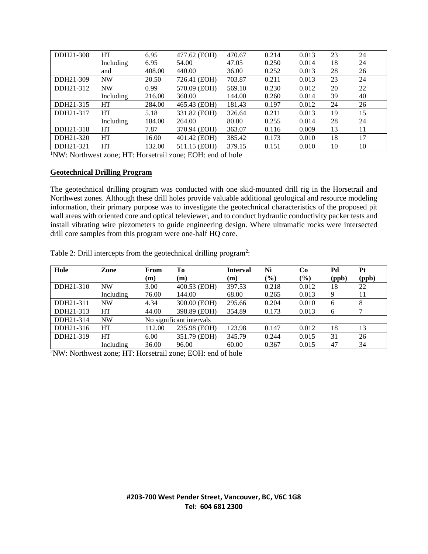| DDH21-308 | HT        | 6.95   | 477.62 (EOH) | 470.67 | 0.214 | 0.013 | 23 | 24 |
|-----------|-----------|--------|--------------|--------|-------|-------|----|----|
|           | Including | 6.95   | 54.00        | 47.05  | 0.250 | 0.014 | 18 | 24 |
|           | and       | 408.00 | 440.00       | 36.00  | 0.252 | 0.013 | 28 | 26 |
| DDH21-309 | <b>NW</b> | 20.50  | 726.41 (EOH) | 703.87 | 0.211 | 0.013 | 23 | 24 |
| DDH21-312 | <b>NW</b> | 0.99   | 570.09 (EOH) | 569.10 | 0.230 | 0.012 | 20 | 22 |
|           | Including | 216.00 | 360.00       | 144.00 | 0.260 | 0.014 | 39 | 40 |
| DDH21-315 | HT        | 284.00 | 465.43 (EOH) | 181.43 | 0.197 | 0.012 | 24 | 26 |
| DDH21-317 | <b>HT</b> | 5.18   | 331.82 (EOH) | 326.64 | 0.211 | 0.013 | 19 | 15 |
|           | Including | 184.00 | 264.00       | 80.00  | 0.255 | 0.014 | 28 | 24 |
| DDH21-318 | HT        | 7.87   | 370.94 (EOH) | 363.07 | 0.116 | 0.009 | 13 | 11 |
| DDH21-320 | HT        | 16.00  | 401.42 (EOH) | 385.42 | 0.173 | 0.010 | 18 | 17 |
| DDH21-321 | HT        | 132.00 | 511.15 (EOH) | 379.15 | 0.151 | 0.010 | 10 | 10 |

<sup>1</sup>NW: Northwest zone; HT: Horsetrail zone; EOH: end of hole

#### **Geotechnical Drilling Program**

The geotechnical drilling program was conducted with one skid-mounted drill rig in the Horsetrail and Northwest zones. Although these drill holes provide valuable additional geological and resource modeling information, their primary purpose was to investigate the geotechnical characteristics of the proposed pit wall areas with oriented core and optical televiewer, and to conduct hydraulic conductivity packer tests and install vibrating wire piezometers to guide engineering design. Where ultramafic rocks were intersected drill core samples from this program were one-half HQ core.

| Hole      | Zone      | From                     | To           | <b>Interval</b> | Ni            | Co     | Pd    | Pt    |
|-----------|-----------|--------------------------|--------------|-----------------|---------------|--------|-------|-------|
|           |           | (m)                      | (m)          | (m)             | $\frac{6}{6}$ | $(\%)$ | (ppb) | (ppb) |
| DDH21-310 | <b>NW</b> | 3.00                     | 400.53 (EOH) | 397.53          | 0.218         | 0.012  | 18    | 22    |
|           | Including | 76.00                    | 144.00       | 68.00           | 0.265         | 0.013  | 9     | 11    |
| DDH21-311 | NW        | 4.34                     | 300.00 (EOH) | 295.66          | 0.204         | 0.010  | 6     | 8     |
| DDH21-313 | HT        | 44.00                    | 398.89 (EOH) | 354.89          | 0.173         | 0.013  | 6     |       |
| DDH21-314 | <b>NW</b> | No significant intervals |              |                 |               |        |       |       |
| DDH21-316 | HT        | 112.00                   | 235.98 (EOH) | 123.98          | 0.147         | 0.012  | 18    | 13    |
| DDH21-319 | HT        | 6.00                     | 351.79 (EOH) | 345.79          | 0.244         | 0.015  | 31    | 26    |
|           | Including | 36.00                    | 96.00        | 60.00           | 0.367         | 0.015  | 47    | 34    |

Table 2: Drill intercepts from the geotechnical drilling program<sup>2</sup>:

2NW: Northwest zone; HT: Horsetrail zone; EOH: end of hole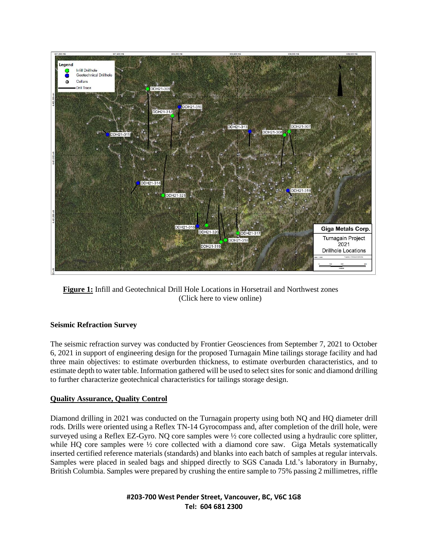

**Figure 1:** Infill and Geotechnical Drill Hole Locations in Horsetrail and Northwest zones (Click here to view online)

#### **Seismic Refraction Survey**

The seismic refraction survey was conducted by Frontier Geosciences from September 7, 2021 to October 6, 2021 in support of engineering design for the proposed Turnagain Mine tailings storage facility and had three main objectives: to estimate overburden thickness, to estimate overburden characteristics, and to estimate depth to water table. Information gathered will be used to select sites for sonic and diamond drilling to further characterize geotechnical characteristics for tailings storage design.

#### **Quality Assurance, Quality Control**

Diamond drilling in 2021 was conducted on the Turnagain property using both NQ and HQ diameter drill rods. Drills were oriented using a Reflex TN-14 Gyrocompass and, after completion of the drill hole, were surveyed using a Reflex EZ-Gyro. NQ core samples were ½ core collected using a hydraulic core splitter, while HQ core samples were  $\frac{1}{2}$  core collected with a diamond core saw. Giga Metals systematically inserted certified reference materials (standards) and blanks into each batch of samples at regular intervals. Samples were placed in sealed bags and shipped directly to SGS Canada Ltd.'s laboratory in Burnaby, British Columbia. Samples were prepared by crushing the entire sample to 75% passing 2 millimetres, riffle

> **#203-700 West Pender Street, Vancouver, BC, V6C 1G8 Tel: 604 681 2300**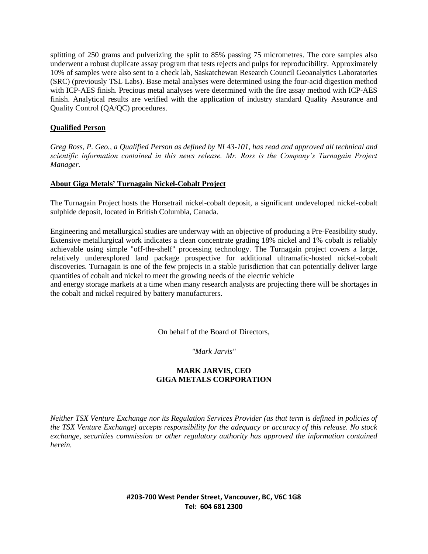splitting of 250 grams and pulverizing the split to 85% passing 75 micrometres. The core samples also underwent a robust duplicate assay program that tests rejects and pulps for reproducibility. Approximately 10% of samples were also sent to a check lab, Saskatchewan Research Council Geoanalytics Laboratories (SRC) (previously TSL Labs). Base metal analyses were determined using the four-acid digestion method with ICP-AES finish. Precious metal analyses were determined with the fire assay method with ICP-AES finish. Analytical results are verified with the application of industry standard Quality Assurance and Quality Control (QA/QC) procedures.

#### **Qualified Person**

*Greg Ross, P. Geo., a Qualified Person as defined by NI 43-101, has read and approved all technical and scientific information contained in this news release. Mr. Ross is the Company's Turnagain Project Manager.*

#### **About Giga Metals' Turnagain Nickel-Cobalt Project**

The [Turnagain Project](https://gigametals.com/projects/turnagain-project/) hosts the Horsetrail nickel-cobalt deposit, a significant undeveloped nickel-cobalt sulphide deposit, located in British Columbia, Canada.

Engineering and metallurgical studies are underway with an objective of producing a Pre-Feasibility study. Extensive metallurgical work indicates a clean concentrate grading 18% nickel and 1% cobalt is reliably achievable using simple "off-the-shelf" processing technology. The Turnagain project covers a large, relatively underexplored land package prospective for additional ultramafic-hosted nickel-cobalt discoveries. Turnagain is one of the few projects in a stable jurisdiction that can potentially deliver large quantities of cobalt and nickel to meet the growing needs of the electric vehicle

and energy storage markets at a time when many research analysts are projecting there will be shortages in the cobalt and nickel required by battery manufacturers.

On behalf of the Board of Directors,

*"Mark Jarvis"*

### **MARK JARVIS, CEO [GIGA METALS CORPORATION](https://gigametals.com/corporate/corporate-vision/)**

*Neither TSX Venture Exchange nor its Regulation Services Provider (as that term is defined in policies of the TSX Venture Exchange) accepts responsibility for the adequacy or accuracy of this release. No stock exchange, securities commission or other regulatory authority has approved the information contained herein.*

> **#203-700 West Pender Street, Vancouver, BC, V6C 1G8 Tel: 604 681 2300**